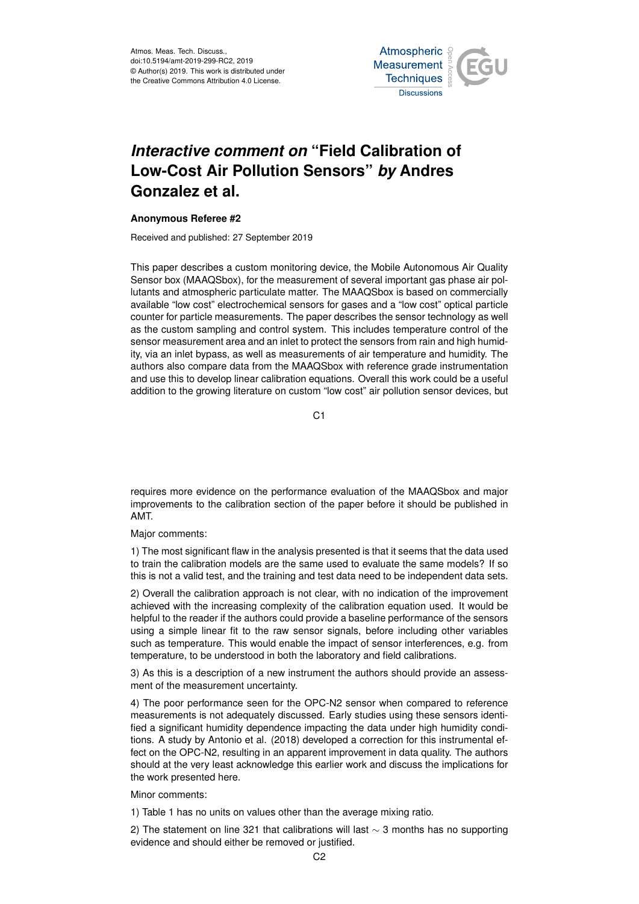Atmos. Meas. Tech. Discuss., doi:10.5194/amt-2019-299-RC2, 2019 © Author(s) 2019. This work is distributed under the Creative Commons Attribution 4.0 License.



## *Interactive comment on* **"Field Calibration of Low-Cost Air Pollution Sensors"** *by* **Andres Gonzalez et al.**

## **Anonymous Referee #2**

Received and published: 27 September 2019

This paper describes a custom monitoring device, the Mobile Autonomous Air Quality Sensor box (MAAQSbox), for the measurement of several important gas phase air pollutants and atmospheric particulate matter. The MAAQSbox is based on commercially available "low cost" electrochemical sensors for gases and a "low cost" optical particle counter for particle measurements. The paper describes the sensor technology as well as the custom sampling and control system. This includes temperature control of the sensor measurement area and an inlet to protect the sensors from rain and high humidity, via an inlet bypass, as well as measurements of air temperature and humidity. The authors also compare data from the MAAQSbox with reference grade instrumentation and use this to develop linear calibration equations. Overall this work could be a useful addition to the growing literature on custom "low cost" air pollution sensor devices, but

 $C<sub>1</sub>$ 

requires more evidence on the performance evaluation of the MAAQSbox and major improvements to the calibration section of the paper before it should be published in AMT.

Major comments:

1) The most significant flaw in the analysis presented is that it seems that the data used to train the calibration models are the same used to evaluate the same models? If so this is not a valid test, and the training and test data need to be independent data sets.

2) Overall the calibration approach is not clear, with no indication of the improvement achieved with the increasing complexity of the calibration equation used. It would be helpful to the reader if the authors could provide a baseline performance of the sensors using a simple linear fit to the raw sensor signals, before including other variables such as temperature. This would enable the impact of sensor interferences, e.g. from temperature, to be understood in both the laboratory and field calibrations.

3) As this is a description of a new instrument the authors should provide an assessment of the measurement uncertainty.

4) The poor performance seen for the OPC-N2 sensor when compared to reference measurements is not adequately discussed. Early studies using these sensors identified a significant humidity dependence impacting the data under high humidity conditions. A study by Antonio et al. (2018) developed a correction for this instrumental effect on the OPC-N2, resulting in an apparent improvement in data quality. The authors should at the very least acknowledge this earlier work and discuss the implications for the work presented here.

Minor comments:

1) Table 1 has no units on values other than the average mixing ratio.

2) The statement on line 321 that calibrations will last  $\sim$  3 months has no supporting evidence and should either be removed or justified.